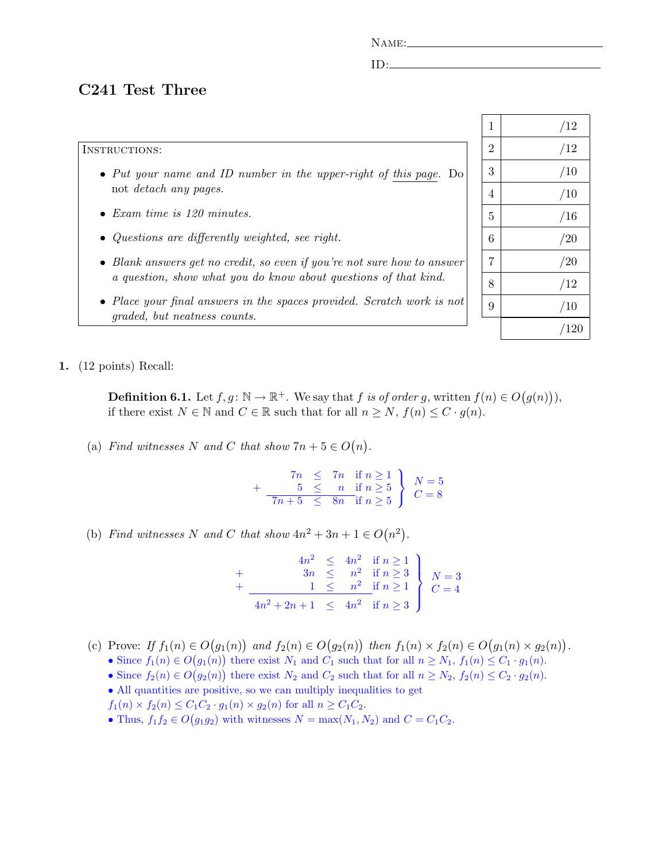NAME:

ID:

## C241 Test Three

## INSTRUCTIONS:

- Put your name and ID number in the upper-right of this page. Do not detach any pages.
- Exam time is 120 minutes.
- Questions are differently weighted, see right.
- Blank answers get no credit, so even if you're not sure how to answer a question, show what you do know about questions of that kind.
- Place your final answers in the spaces provided. Scratch work is not graded, but neatness counts.

| $\overline{1}$ | /12  |
|----------------|------|
| $\overline{2}$ | /12  |
| 3              | /10  |
| $\overline{4}$ | /10  |
| $\overline{5}$ | /16  |
| 6              | /20  |
| $\overline{7}$ | /20  |
| 8              | /12  |
| 9              | /10  |
|                | /120 |

1. (12 points) Recall:

**Definition 6.1.** Let  $f, g: \mathbb{N} \to \mathbb{R}^+$ . We say that f is of order g, written  $f(n) \in O(g(n))$ , if there exist  $N \in \mathbb{N}$  and  $C \in \mathbb{R}$  such that for all  $n \geq N$ ,  $f(n) \leq C \cdot g(n)$ .

(a) Find witnesses N and C that show  $7n + 5 \in O(n)$ .

 $7n \leq 7n \text{ if } n \geq 1$  $+$  5  $\leq$  n if  $n \geq 5$  $7n+5 \leq 8n$  if  $n \geq 5$  $\mathcal{L}$  $\mathcal{L}$ J  $N=5$  $C=8$ 

(b) Find witnesses N and C that show  $4n^2 + 3n + 1 \in O(n^2)$ .

|                                         |  | $\begin{array}{rcl} 4n^2 & \leq & 4n^2 & \text{if } n \geq 1 \\ 3n & \leq & n^2 & \text{if } n \geq 3 \\ \hline 1 & \leq & n^2 & \text{if } n \geq 1 \\ \end{array} \Bigg\} \quad N=3$ |  |
|-----------------------------------------|--|----------------------------------------------------------------------------------------------------------------------------------------------------------------------------------------|--|
| $4n^2 + 2n + 1 \leq 4n^2$ if $n \geq 3$ |  |                                                                                                                                                                                        |  |

- (c) Prove: If  $f_1(n) \in O(g_1(n))$  and  $f_2(n) \in O(g_2(n))$  then  $f_1(n) \times f_2(n) \in O(g_1(n) \times g_2(n))$ .
	- Since  $f_1(n) \in O(g_1(n))$  there exist  $N_1$  and  $C_1$  such that for all  $n \ge N_1$ ,  $f_1(n) \le C_1 \cdot g_1(n)$ .
	- Since  $f_2(n) \in O(g_2(n))$  there exist  $N_2$  and  $C_2$  such that for all  $n \ge N_2$ ,  $f_2(n) \le C_2 \cdot g_2(n)$ .
	- All quantities are positive, so we can multiply inequalities to get
	- $f_1(n) \times f_2(n) \leq C_1 C_2 \cdot g_1(n) \times g_2(n)$  for all  $n \geq C_1 C_2$ .
	- Thus,  $f_1 f_2 \in O(g_1 g_2)$  with witnesses  $N = \max(N_1, N_2)$  and  $C = C_1 C_2$ .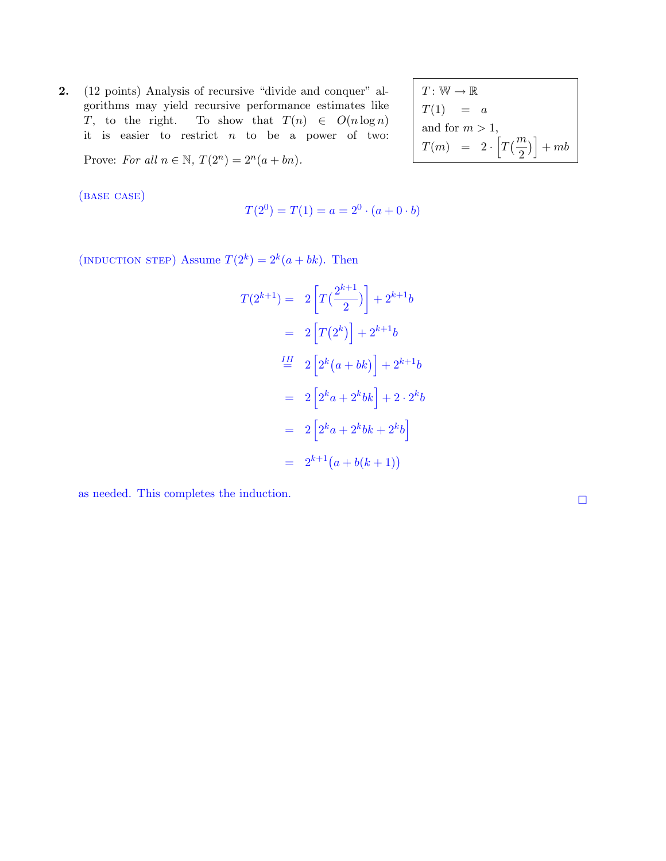2. (12 points) Analysis of recursive "divide and conquer" algorithms may yield recursive performance estimates like T, to the right. To show that  $T(n) \in O(n \log n)$ it is easier to restrict  $n$  to be a power of two:

 $T\colon\mathbb{W}\to\mathbb{R}$  $T(1) = a$ and for  $m > 1$ ,  $T(m) = 2 \cdot \left[ T(\frac{m}{2}) \right]$ 2  $\mathcal{L}$ i  $+\,mb$ 

Prove: For all  $n \in \mathbb{N}$ ,  $T(2^n) = 2^n(a + bn)$ .

(base case)

$$
T(2^0) = T(1) = a = 2^0 \cdot (a + 0 \cdot b)
$$

(INDUCTION STEP) Assume  $T(2^k) = 2^k(a + bk)$ . Then

$$
T(2^{k+1}) = 2\left[T(\frac{2^{k+1}}{2})\right] + 2^{k+1}b
$$
  
= 2\left[T(2^k)\right] + 2^{k+1}b  

$$
\stackrel{IH}{=} 2\left[2^k(a+bk)\right] + 2^{k+1}b
$$
  
= 2\left[2^ka + 2^kbk\right] + 2\cdot 2^k b  
= 2\left[2^ka + 2^kbk + 2^k b\right]  
= 2^{k+1}(a+b(k+1))

as needed. This completes the induction.  $\hfill \square$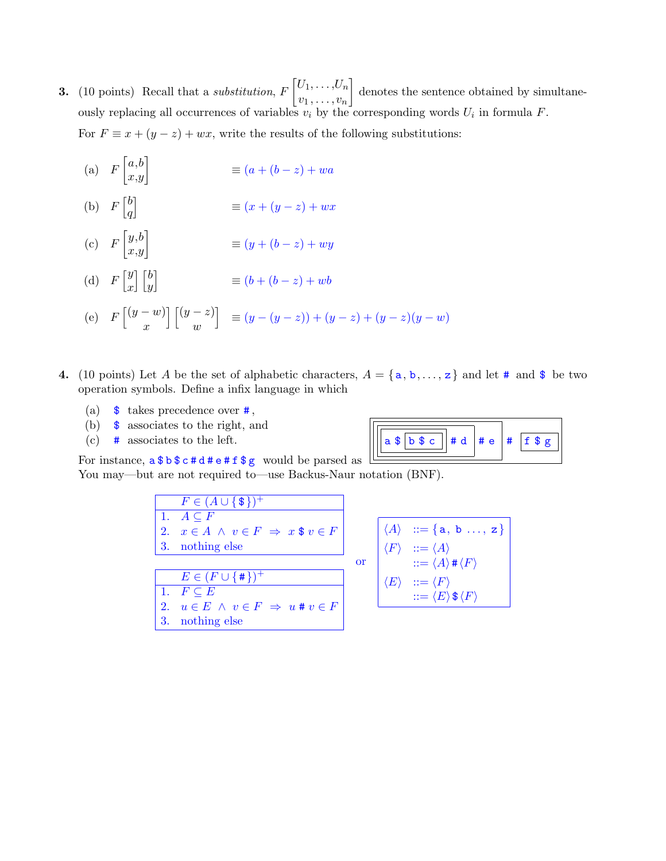- **3.** (10 points) Recall that a *substitution*,  $F\left[U_1,\ldots,U_n\right]$  $v_1$ , ...,  $v_n$  denotes the sentence obtained by simultaneously replacing all occurrences of variables  $v_i$  by the corresponding words  $U_i$  in formula  $F$ . For  $F \equiv x + (y - z) + wx$ , write the results of the following substitutions:
	- (a)  $F\begin{bmatrix} a,b\\x,y \end{bmatrix}$  $\equiv (a + (b - z) + wa$
	- (b)  $F\begin{bmatrix} b \\ a \end{bmatrix}$ q i  $\equiv (x + (y - z) + wx)$
	- (c)  $F\begin{bmatrix} y,b \\ x,y \end{bmatrix}$  $\equiv (y + (b - z) + wy)$
	- (d)  $F\begin{bmatrix} y \\ z \end{bmatrix}$  $\overline{x}$  $\lceil \int b$  $\hat{y}$ i  $\equiv (b + (b - z) + wb)$
	- (e)  $F\left[\left(y-w\right)\right]$  $\boldsymbol{x}$  $\lceil (y - z) \rceil$  $\omega$  $\Big] \equiv (y - (y - z)) + (y - z) + (y - z)(y - w)$
- 4. (10 points) Let A be the set of alphabetic characters,  $A = \{a, b, \ldots, z\}$  and let # and \$ be two operation symbols. Define a infix language in which
	- (a)  $\frac{1}{3}$  takes precedence over  $\frac{1}{3}$ ,
	- (b)  $\frac{1}{3}$  associates to the right, and
	- (c)  $\#$  associates to the left.

| $a \$ b \ c   # d  # e  #  f \$ |  |  |  |
|---------------------------------|--|--|--|
|---------------------------------|--|--|--|

For instance, a \$ b \$ c # d # e # f \$ g would be parsed as You may—but are not required to—use Backus-Naur notation (BNF).

| $F \in (A \cup \{\$\})^+$                           |
|-----------------------------------------------------|
| 1. $A \subseteq F$                                  |
| 2. $x \in A \land v \in F \Rightarrow x \$ v \in F$ |
| 3. nothing else                                     |
| $E \in (F \cup \{\#\})^+$                           |
| 1. $F \subseteq E$                                  |
| 2. $u \in E \land v \in F \Rightarrow u \# v \in F$ |
| 3. nothing else                                     |

$$
\begin{array}{c}\n\langle A \rangle & ::= \{ \mathsf{a}, \mathsf{b} \dots, \mathsf{z} \} \\
\langle F \rangle & ::= \langle A \rangle \\
\text{or} & ::= \langle A \rangle \# \langle F \rangle \\
\langle E \rangle & ::= \langle F \rangle \\
\therefore = \langle E \rangle \, \$ \langle F \rangle\n\end{array}
$$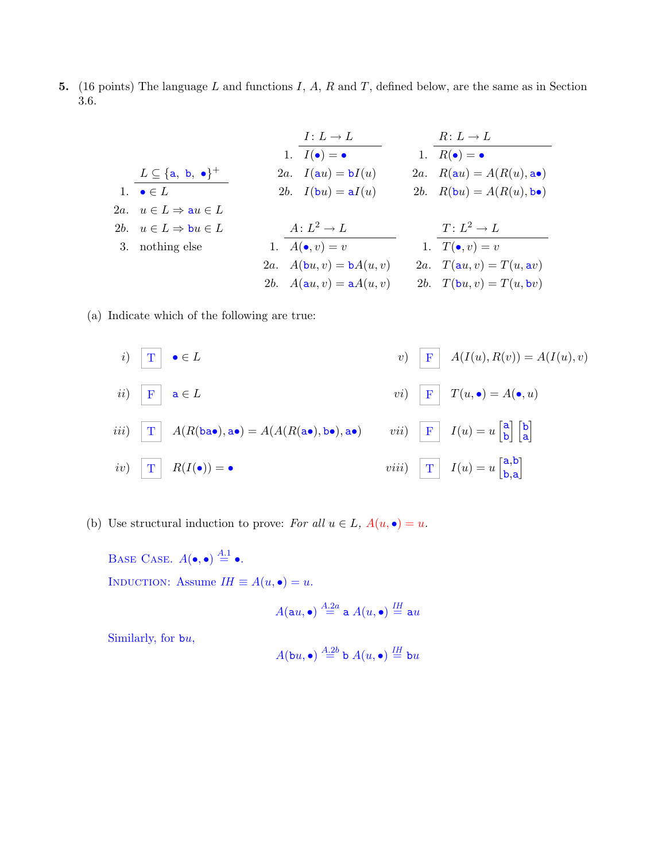5. (16 points) The language L and functions I, A, R and T, defined below, are the same as in Section 3.6.

|                                                     | $I: L \rightarrow L$                  | $R: L \rightarrow L$                               |
|-----------------------------------------------------|---------------------------------------|----------------------------------------------------|
|                                                     | 1. $I(\bullet) = \bullet$             | 1. $R(\bullet) = \bullet$                          |
| $L \subseteq \{\texttt{a}, \texttt{b}, \bullet\}^+$ | 2a. $I(au) = bI(u)$                   | 2a. $R(\mathbf{a}u) = A(R(u), \mathbf{a})$         |
| 1. $\bullet \in L$                                  | 2b. $I(\mathbf{b}u) = \mathbf{a}I(u)$ | 2b. $R(\mathbf{b}u) = A(R(u), \mathbf{b} \bullet)$ |
| 2a. $u \in L \Rightarrow \mathbf{a}u \in L$         |                                       |                                                    |
| 2b. $u \in L \Rightarrow \mathbf{b}u \in L$         | $A: L^2 \to L$                        | $T: L^2 \to L$                                     |
| 3. nothing else                                     | 1. $A(\bullet, v) = v$                | 1. $T(\bullet, v) = v$                             |
|                                                     | 2a. $A(bu, v) = bA(u, v)$             | 2a. $T(\mathbf{a}u, v) = T(u, \mathbf{a}v)$        |
|                                                     | 2b. $A(au, v) = aA(u, v)$             | 2b. $T(\mathbf{b}u, v) = T(u, \mathbf{b}v)$        |

(a) Indicate which of the following are true:



(b) Use structural induction to prove: For all  $u \in L$ ,  $A(u, \bullet) = u$ .

BASE CASE.  $A(\bullet, \bullet) \stackrel{A.1}{=} \bullet$ . INDUCTION: Assume  $IH \equiv A(u, \bullet) = u$ .

$$
A(\texttt{a} u, \bullet) \stackrel{A.2a}{=} \texttt{a} \; A(u, \bullet) \stackrel{IH}{=} \texttt{a} u
$$

Similarly, for bu,

$$
A(\mathtt{b} u, \bullet) \stackrel{A.2b}{=} \mathtt{b} \; A(u, \bullet) \stackrel{IH}{=} \mathtt{b} u
$$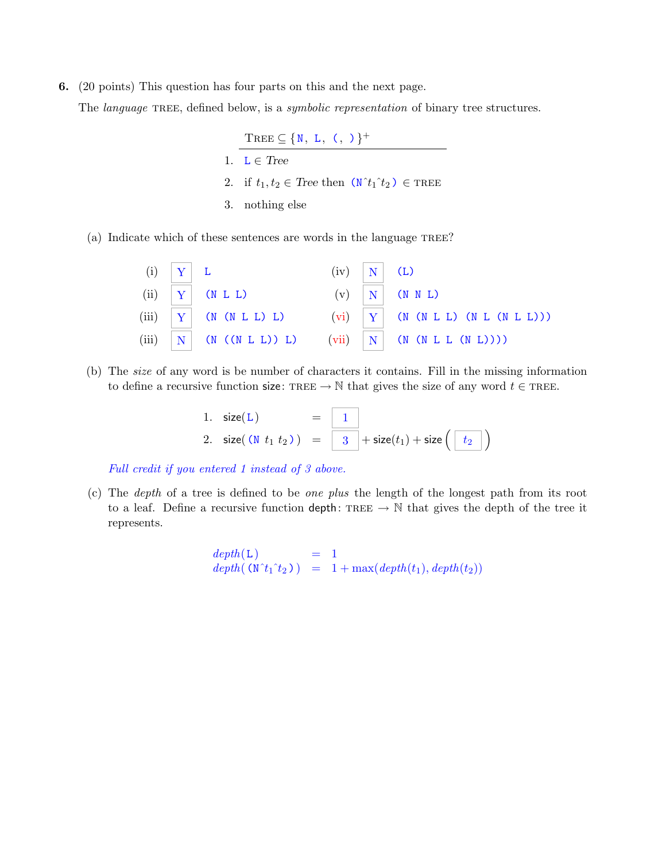6. (20 points) This question has four parts on this and the next page.

The *language* TREE, defined below, is a *symbolic representation* of binary tree structures.

TREE  $\subseteq \{N, L, (\, , \, )\}^+$ 1.  $L \in Tree$ 2. if  $t_1, t_2 \in \text{Tree then } (\mathbb{N}^t t_1^t t_2) \in \text{Tree}$ 3. nothing else

(a) Indicate which of these sentences are words in the language TREE?

| $(i)$ $\mid Y \mid L$ |                           | $(iv)$   N   (L) |                                                            |
|-----------------------|---------------------------|------------------|------------------------------------------------------------|
|                       | $(ii)$ $ Y $ (N L L)      |                  | $(v)$ $\vert N \vert$ (N N L)                              |
|                       | (iii) $ Y $ (N (N L L) L) |                  | (vi) $ Y $ (N (N L L) (N L (N L L)))                       |
|                       |                           |                  | (iii) $ N $ (N ((N L L)) L) (vii) $ N $ (N (N L L (N L)))) |

(b) The size of any word is be number of characters it contains. Fill in the missing information to define a recursive function size: TREE  $\rightarrow \mathbb{N}$  that gives the size of any word  $t \in \text{TREE}$ .

1. 
$$
size(L)
$$
 =  $\boxed{1}$   
2.  $size((N t_1 t_2)) = \boxed{3} + size(t_1) + size(\boxed{t_2}$ )

Full credit if you entered 1 instead of 3 above.

(c) The depth of a tree is defined to be one plus the length of the longest path from its root to a leaf. Define a recursive function depth: TREE  $\rightarrow \mathbb{N}$  that gives the depth of the tree it represents.

```
depth(L) = 1
depth( (N^t_1^t_2)) = 1 + max(depth(t_1), depth(t_2))
```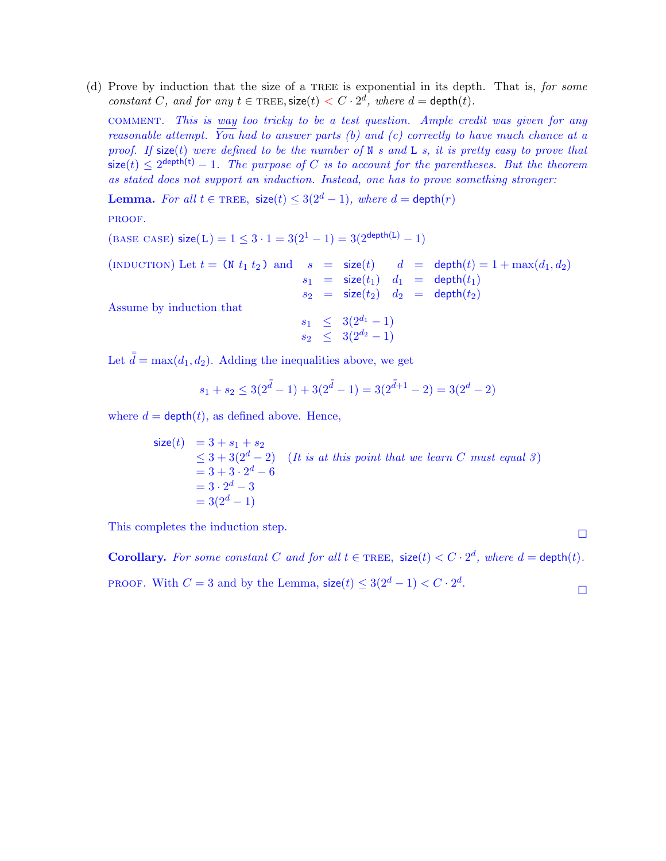(d) Prove by induction that the size of a TREE is exponential in its depth. That is, for some constant C, and for any  $t \in \text{FREE}, \text{size}(t) < C \cdot 2^d$ , where  $d = \text{depth}(t)$ .

comment. This is way too tricky to be a test question. Ample credit was given for any reasonable attempt. You had to answer parts (b) and (c) correctly to have much chance at a proof. If size(t) were defined to be the number of  $N$  s and  $L$  s, it is pretty easy to prove that  $\mathsf{size}(t) \leq 2^{\mathsf{depth}(t)} - 1$ . The purpose of C is to account for the parentheses. But the theorem as stated does not support an induction. Instead, one has to prove something stronger:

**Lemma.** For all  $t \in \text{FREE}$ ,  $\text{size}(t) \leq 3(2^d - 1)$ , where  $d = \text{depth}(r)$ 

PROOF.

 $(BASE CASE) size(L) = 1 \leq 3 \cdot 1 = 3(2^1 - 1) = 3(2^{\text{depth}(L)} - 1)$ 

(INDUCTION) Let  $t = (\mathbb{N} \ t_1 \ t_2)$  and  $s = \text{size}(t)$   $d = \text{depth}(t) = 1 + \max(d_1, d_2)$  $s_1$  = size( $t_1$ )  $d_1$  = depth( $t_1$ )  $s_2$  = size(t<sub>2</sub>)  $d_2$  = depth(t<sub>2</sub>)

Assume by induction that

$$
\begin{array}{rcl} s_1 & \leq & 3(2^{d_1} - 1) \\ s_2 & \leq & 3(2^{d_2} - 1) \end{array}
$$

Let  $\bar{d} = \max(d_1, d_2)$ . Adding the inequalities above, we get

$$
s_1 + s_2 \le 3(2^{\bar{\bar{d}}}-1) + 3(2^{\bar{\bar{d}}}-1) = 3(2^{\bar{\bar{d}}+1}-2) = 3(2^d-2)
$$

where  $d = \text{depth}(t)$ , as defined above. Hence,

size(t) = 3 + s<sub>1</sub> + s<sub>2</sub>  
\n
$$
\leq 3 + 3(2^d - 2)
$$
 (It is at this point that we learn C must equal 3)  
\n= 3 + 3 \cdot 2^d - 6  
\n= 3 \cdot 2^d - 3  
\n= 3(2^d - 1)

This completes the induction step.  $\hfill\Box$ 

Corollary. For some constant C and for all  $t \in \text{FREE}$ ,  $\text{size}(t) < C \cdot 2^d$ , where  $d = \text{depth}(t)$ . PROOF. With  $C = 3$  and by the Lemma,  $\text{size}(t) \leq 3(2^d - 1) < C \cdot 2^d$ .  $\Box$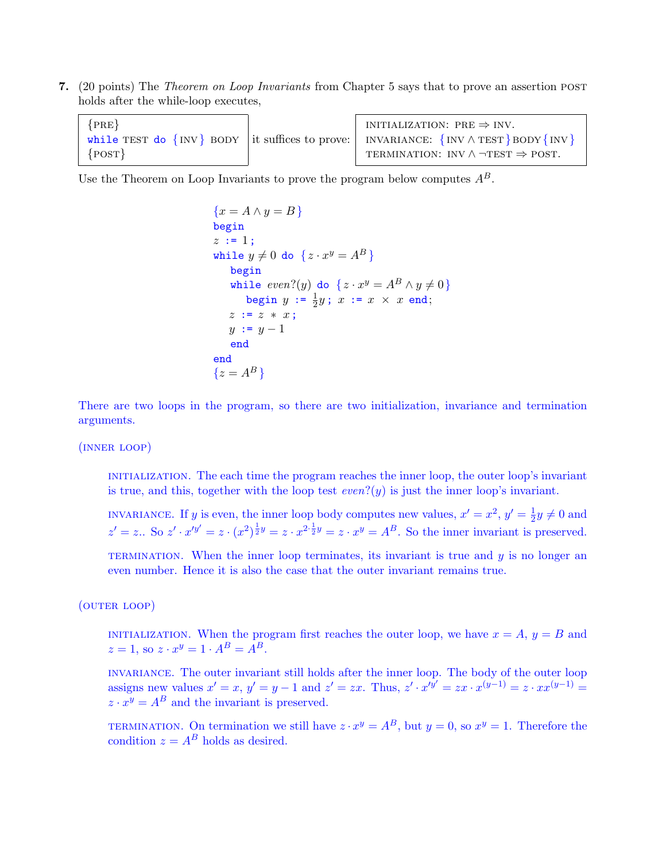7. (20 points) The *Theorem on Loop Invariants* from Chapter 5 says that to prove an assertion post holds after the while-loop executes,

| ${PRE}$  | INITIALIZATION: PRE $\Rightarrow$ INV.                                                              |
|----------|-----------------------------------------------------------------------------------------------------|
|          | while TEST do $\{INV\}$ BODY it suffices to prove: INVARIANCE: $\{INV \wedge TEST\}$ BODY $\{INV\}$ |
| ${POST}$ | TERMINATION: INV $\land \neg TEST \Rightarrow POST$ .                                               |

Use the Theorem on Loop Invariants to prove the program below computes  $A^B$ .

$$
\{x = A \land y = B\}
$$
  
begin  
begin  
 $z := 1$ ;  
while  $y \neq 0$  do  $\{z \cdot x^y = A^B\}$   
begin  
begin  $\text{begin}}\text{displayed} \\ \text{displayed} \end{array} \text{where} \\ \text{while } even?(\text{y})$  do  $\{z \cdot x^y = A^B \land y \neq 0\}$   
begin  $y := \frac{1}{2}y$ ;  $x := x \times x$  end;  
 $z := z * x$ ;  
 $y := y - 1$   
end  
end  
 $\{z = A^B\}$ 

There are two loops in the program, so there are two initialization, invariance and termination arguments.

(inner loop)

initialization. The each time the program reaches the inner loop, the outer loop's invariant is true, and this, together with the loop test  $even?(y)$  is just the inner loop's invariant.

INVARIANCE. If y is even, the inner loop body computes new values,  $x' = x^2$ ,  $y' = \frac{1}{2}$  $\frac{1}{2}y \neq 0$  and  $z' = z$ .. So  $z' \cdot x'^{y'} = z \cdot (x^2)^{\frac{1}{2}y} = z \cdot x^{2 \cdot \frac{1}{2}y} = z \cdot x^y = A^B$ . So the inner invariant is preserved.

TERMINATION. When the inner loop terminates, its invariant is true and  $y$  is no longer an even number. Hence it is also the case that the outer invariant remains true.

(outer loop)

INITIALIZATION. When the program first reaches the outer loop, we have  $x = A$ ,  $y = B$  and  $z = 1$ , so  $z \cdot x^y = 1 \cdot A^B = A^B$ .

invariance. The outer invariant still holds after the inner loop. The body of the outer loop assigns new values  $x' = x$ ,  $y' = y - 1$  and  $z' = zx$ . Thus,  $z' \cdot x'^{\overline{y'}} = zx \cdot x^{(y-1)} = z \cdot xx^{(y-1)} = z'$  $z \cdot x^y = A^B$  and the invariant is preserved.

TERMINATION. On termination we still have  $z \cdot x^y = A^B$ , but  $y = 0$ , so  $x^y = 1$ . Therefore the condition  $z = A^B$  holds as desired.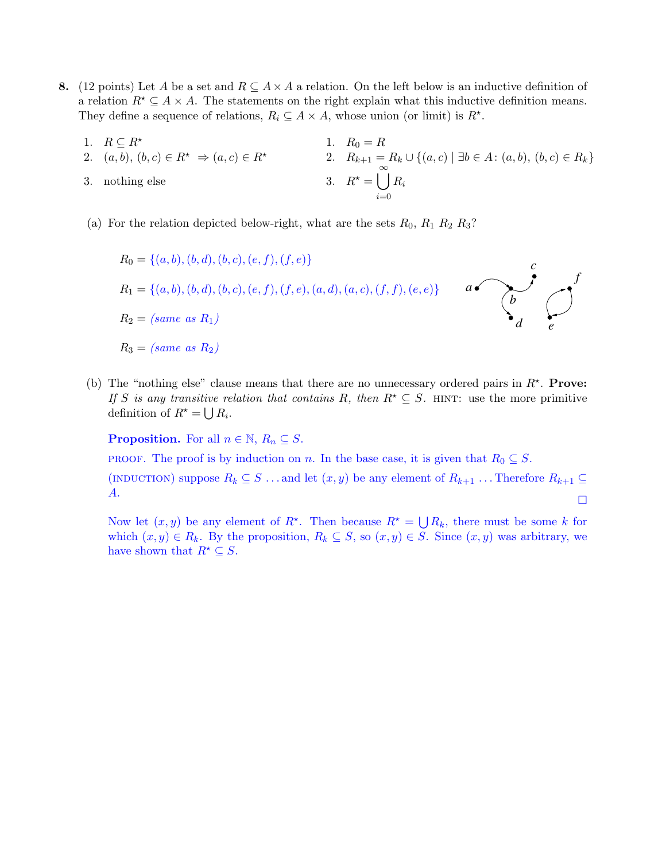- 8. (12 points) Let A be a set and  $R \subseteq A \times A$  a relation. On the left below is an inductive definition of a relation  $R^* \subseteq A \times A$ . The statements on the right explain what this inductive definition means. They define a sequence of relations,  $R_i \subseteq A \times A$ , whose union (or limit) is  $R^*$ .
	- 1.  $R \subseteq R^*$  1.  $R_0 = R$ 2.  $(a, b), (b, c) \in R^* \Rightarrow (a, c) \in R^*$ <br>2.  $R_{k+1} = R_k \cup \{(a, c) \mid \exists b \in A : (a, b), (b, c) \in R_k\}$ 3. nothing else  $3. R^* =$  $\int_{0}^{\infty}$  $i=0$  $R_i$
	- (a) For the relation depicted below-right, what are the sets  $R_0$ ,  $R_1 R_2 R_3$ ?

$$
R_0 = \{(a, b), (b, d), (b, c), (e, f), (f, e)\}
$$
  
\n
$$
R_1 = \{(a, b), (b, d), (b, c), (e, f), (f, e), (a, d), (a, c), (f, f), (e, e)\}
$$
  
\n
$$
R_2 = (same \ as \ R_1)
$$
  
\n
$$
R_3 = (same \ as \ R_2)
$$

(b) The "nothing else" clause means that there are no unnecessary ordered pairs in  $R^*$ . Prove: If S is any transitive relation that contains R, then  $R^* \subseteq S$ . HINT: use the more primitive definition of  $R^* = \bigcup R_i$ .

**Proposition.** For all  $n \in \mathbb{N}$ ,  $R_n \subseteq S$ .

**PROOF.** The proof is by induction on n. In the base case, it is given that  $R_0 \subseteq S$ .

(INDUCTION) suppose  $R_k \subseteq S \dots$  and let  $(x, y)$  be any element of  $R_{k+1} \dots$  Therefore  $R_{k+1} \subseteq$ A.  $\Box$ 

Now let  $(x, y)$  be any element of  $R^*$ . Then because  $R^* = \bigcup R_k$ , there must be some k for which  $(x, y) \in R_k$ . By the proposition,  $R_k \subseteq S$ , so  $(x, y) \in S$ . Since  $(x, y)$  was arbitrary, we have shown that  $R^* \subseteq S$ .